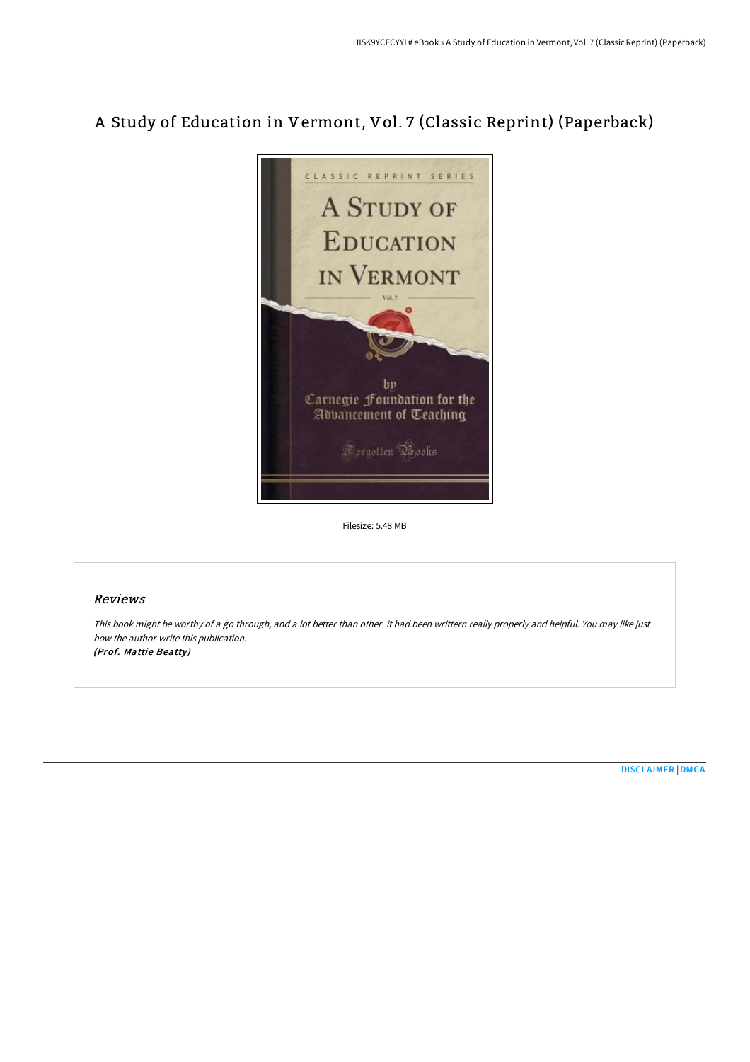## A Study of Education in Vermont, Vol. 7 (Classic Reprint) (Paperback)



Filesize: 5.48 MB

## Reviews

This book might be worthy of <sup>a</sup> go through, and <sup>a</sup> lot better than other. it had been writtern really properly and helpful. You may like just how the author write this publication. (Prof. Mattie Beatty)

[DISCLAIMER](http://techno-pub.tech/disclaimer.html) | [DMCA](http://techno-pub.tech/dmca.html)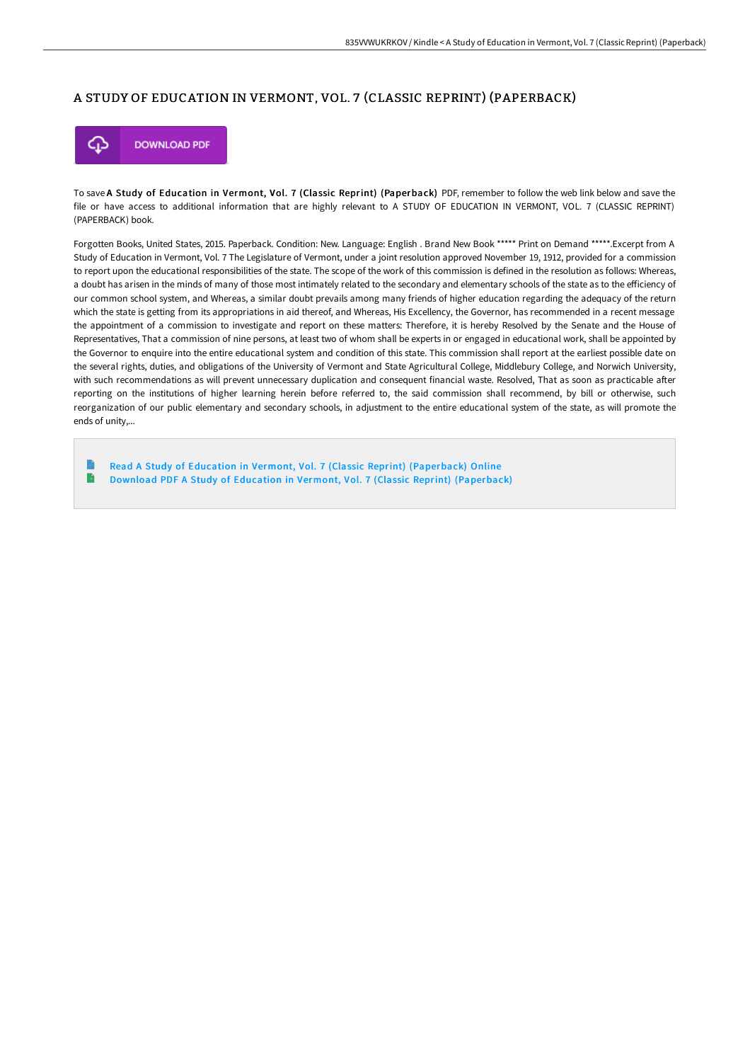## A STUDY OF EDUCATION IN VERMONT, VOL. 7 (CLASSIC REPRINT) (PAPERBACK)



To save A Study of Education in Vermont, Vol. 7 (Classic Reprint) (Paperback) PDF, remember to follow the web link below and save the file or have access to additional information that are highly relevant to A STUDY OF EDUCATION IN VERMONT, VOL. 7 (CLASSIC REPRINT) (PAPERBACK) book.

Forgotten Books, United States, 2015. Paperback. Condition: New. Language: English . Brand New Book \*\*\*\*\* Print on Demand \*\*\*\*\*.Excerpt from A Study of Education in Vermont, Vol. 7 The Legislature of Vermont, under a joint resolution approved November 19, 1912, provided for a commission to report upon the educational responsibilities of the state. The scope of the work of this commission is defined in the resolution as follows: Whereas, a doubt has arisen in the minds of many of those most intimately related to the secondary and elementary schools of the state as to the efficiency of our common school system, and Whereas, a similar doubt prevails among many friends of higher education regarding the adequacy of the return which the state is getting from its appropriations in aid thereof, and Whereas, His Excellency, the Governor, has recommended in a recent message the appointment of a commission to investigate and report on these matters: Therefore, it is hereby Resolved by the Senate and the House of Representatives, That a commission of nine persons, at least two of whom shall be experts in or engaged in educational work, shall be appointed by the Governor to enquire into the entire educational system and condition of this state. This commission shall report at the earliest possible date on the several rights, duties, and obligations of the University of Vermont and State Agricultural College, Middlebury College, and Norwich University, with such recommendations as will prevent unnecessary duplication and consequent financial waste. Resolved, That as soon as practicable after reporting on the institutions of higher learning herein before referred to, the said commission shall recommend, by bill or otherwise, such reorganization of our public elementary and secondary schools, in adjustment to the entire educational system of the state, as will promote the ends of unity,...

Read A Study of Education in Vermont, Vol. 7 (Classic Reprint) [\(Paperback\)](http://techno-pub.tech/a-study-of-education-in-vermont-vol-7-classic-re.html) Online  $\mathbf{B}$ Download PDF A Study of Education in Vermont, Vol. 7 (Classic Reprint) [\(Paperback\)](http://techno-pub.tech/a-study-of-education-in-vermont-vol-7-classic-re.html)